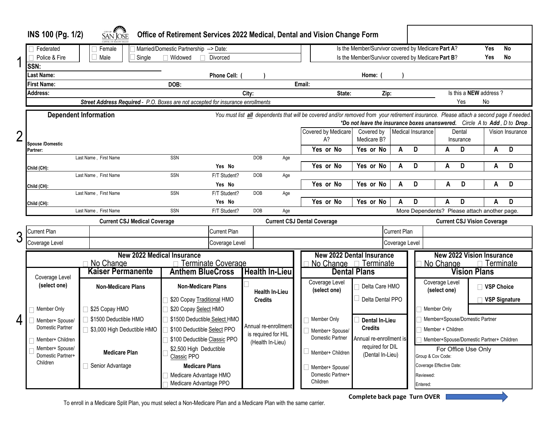|                | CITY OF AVERA<br>INS 100 (Pg. 1/2)<br>Office of Retirement Services 2022 Medical, Dental and Vision Change Form<br>SAN JOSE                                                                                                                                |                                                                                          |                                                    |                                         |                                                                                                          |                                                         |                   |                                                 |                        |              |                      |
|----------------|------------------------------------------------------------------------------------------------------------------------------------------------------------------------------------------------------------------------------------------------------------|------------------------------------------------------------------------------------------|----------------------------------------------------|-----------------------------------------|----------------------------------------------------------------------------------------------------------|---------------------------------------------------------|-------------------|-------------------------------------------------|------------------------|--------------|----------------------|
|                | Married/Domestic Partnership --> Date:<br>Federated<br>Female                                                                                                                                                                                              |                                                                                          |                                                    |                                         | Is the Member/Survivor covered by Medicare Part A?<br>Is the Member/Survivor covered by Medicare Part B? |                                                         |                   |                                                 | Yes                    | No           |                      |
| 1              | Police & Fire<br>SSN:                                                                                                                                                                                                                                      | Male<br>Single                                                                           | Widowed<br>Divorced                                |                                         |                                                                                                          |                                                         |                   |                                                 |                        | Yes          | <b>No</b>            |
|                | Last Name:                                                                                                                                                                                                                                                 |                                                                                          | <b>Phone Cell:</b>                                 |                                         |                                                                                                          | Home:                                                   |                   |                                                 |                        |              |                      |
|                | First Name:                                                                                                                                                                                                                                                |                                                                                          | DOB:                                               |                                         | Email:                                                                                                   |                                                         |                   |                                                 |                        |              |                      |
|                | Address:                                                                                                                                                                                                                                                   |                                                                                          |                                                    | City:                                   | State:                                                                                                   | Zip:                                                    |                   |                                                 | Is this a NEW address? |              |                      |
|                |                                                                                                                                                                                                                                                            | Street Address Required - P.O. Boxes are not accepted for insurance enrollments          |                                                    |                                         |                                                                                                          | Yes<br>No                                               |                   |                                                 |                        |              |                      |
|                | <b>Dependent Information</b><br>You must list <i>all</i> dependents that will be covered and/or removed from your retirement insurance. Please attach a second page if needed.<br>*Do not leave the insurance boxes unanswered. Circle A to Add, D to Drop |                                                                                          |                                                    |                                         |                                                                                                          |                                                         |                   |                                                 |                        |              |                      |
| $\overline{2}$ | <b>Spouse /Domestic</b>                                                                                                                                                                                                                                    |                                                                                          |                                                    |                                         | Covered by Medicare<br>A?                                                                                | Covered by<br>Medicare B?                               | Medical Insurance | Dental<br>Insurance                             |                        |              | Vision Insurance     |
|                | Partner:                                                                                                                                                                                                                                                   |                                                                                          |                                                    |                                         | Yes or No                                                                                                | Yes or No                                               | D<br>A            | A                                               | D                      | A            | D                    |
|                |                                                                                                                                                                                                                                                            | Last Name, First Name                                                                    | SSN<br>Yes No                                      | DOB<br>Age                              | Yes or No                                                                                                | Yes or No                                               | D<br>A            |                                                 | D                      | A            | D                    |
|                | Child (CH):                                                                                                                                                                                                                                                | Last Name, First Name                                                                    | SSN<br>F/T Student?                                | <b>DOB</b><br>Age                       |                                                                                                          |                                                         |                   | A                                               |                        |              |                      |
|                | Child (CH):                                                                                                                                                                                                                                                |                                                                                          | Yes No                                             |                                         | Yes or No                                                                                                | Yes or No                                               | D<br>A            | A                                               | D                      | A            | D                    |
|                |                                                                                                                                                                                                                                                            | Last Name, First Name                                                                    | SSN<br>F/T Student?                                | <b>DOB</b><br>Age                       |                                                                                                          |                                                         |                   |                                                 |                        |              |                      |
|                | Child (CH):                                                                                                                                                                                                                                                |                                                                                          | Yes No                                             |                                         | Yes or No                                                                                                | Yes or No                                               | D<br>A            | A                                               | D                      | A            | D                    |
|                | Last Name, First Name<br>More Dependents? Please attach another page.<br>SSN<br>F/T Student?<br>DOB<br>Age                                                                                                                                                 |                                                                                          |                                                    |                                         |                                                                                                          |                                                         |                   |                                                 |                        |              |                      |
|                | <b>Current CSJ Medical Coverage</b><br><b>Current CSJ Dental Coverage</b>                                                                                                                                                                                  |                                                                                          |                                                    |                                         |                                                                                                          |                                                         |                   | <b>Current CSJ Vision Coverage</b>              |                        |              |                      |
| 3              | Current Plan                                                                                                                                                                                                                                               | <b>Current Plan</b>                                                                      |                                                    |                                         | <b>Current Plan</b>                                                                                      |                                                         |                   |                                                 |                        |              |                      |
|                | Coverage Level                                                                                                                                                                                                                                             | Coverage Level                                                                           |                                                    |                                         | Coverage Level                                                                                           |                                                         |                   |                                                 |                        |              |                      |
|                | <b>New 2022 Medical Insurance</b>                                                                                                                                                                                                                          |                                                                                          |                                                    |                                         | <b>New 2022 Dental Insurance</b><br><b>New 2022 Vision Insurance</b>                                     |                                                         |                   |                                                 |                        |              |                      |
|                |                                                                                                                                                                                                                                                            | No Change<br>□ Terminate Coverage<br><b>Kaiser Permanente</b><br><b>Anthem BlueCross</b> |                                                    | <b>Health In-Lieu</b>                   |                                                                                                          | No Change <sub>1</sub> Terminate<br><b>Dental Plans</b> |                   | □ Terminate<br>No Change<br><b>Vision Plans</b> |                        |              |                      |
|                | Coverage Level<br>(select one)                                                                                                                                                                                                                             | <b>Non-Medicare Plans</b>                                                                | <b>Non-Medicare Plans</b><br><b>Health In-Lieu</b> |                                         | Coverage Level<br>(select one)                                                                           | Delta Care HMO                                          |                   | Coverage Level<br>(select one)                  |                        | □ VSP Choice |                      |
|                |                                                                                                                                                                                                                                                            |                                                                                          | \$20 Copay Traditional HMO                         | <b>Credits</b>                          |                                                                                                          | $\Box$ Delta Dental PPO                                 |                   |                                                 |                        |              | <b>VSP Signature</b> |
|                | Member Only                                                                                                                                                                                                                                                | \$25 Copay HMO                                                                           | \$20 Copay Select HMO                              |                                         |                                                                                                          |                                                         |                   | Member Only                                     |                        |              |                      |
| 4              | Member+ Spouse/                                                                                                                                                                                                                                            | \$1500 Deductible HMO                                                                    | \$1500 Deductible Select HMO                       | Annual re-enrollment                    | Member Only                                                                                              | <b>Dental In-Lieu</b>                                   |                   | Member+Spouse/Domestic Partner                  |                        |              |                      |
|                | Domestic Partner                                                                                                                                                                                                                                           | \$3,000 High Deductible HMO                                                              | \$100 Deductible Select PPO                        |                                         | Member+ Spouse/                                                                                          | <b>Credits</b>                                          |                   | Member + Children                               |                        |              |                      |
|                | Member+ Children                                                                                                                                                                                                                                           | \$100 Deductible Classic PPO                                                             |                                                    | is required for HIL<br>(Health In-Lieu) | Domestic Partner<br>Annual re-enrollment is<br>required for DIL                                          |                                                         |                   | Member+Spouse/Domestic Partner+ Children        |                        |              |                      |
|                | Member+ Spouse/<br>Domestic Partner+                                                                                                                                                                                                                       | <b>Medicare Plan</b>                                                                     | \$2,500 High Deductible<br>Classic PPO             |                                         | Member+ Children                                                                                         | (Dental In-Lieu)                                        |                   | For Office Use Only<br>Group & Cov Code:        |                        |              |                      |
|                | Children                                                                                                                                                                                                                                                   | Senior Advantage                                                                         | <b>Medicare Plans</b>                              |                                         | Member+ Spouse/                                                                                          |                                                         |                   | Coverage Effective Date:                        |                        |              |                      |
|                |                                                                                                                                                                                                                                                            |                                                                                          | Medicare Advantage HMO                             |                                         | Domestic Partner+<br>Children                                                                            |                                                         |                   | Reviewed:                                       |                        |              |                      |
|                |                                                                                                                                                                                                                                                            |                                                                                          | Medicare Advantage PPO                             |                                         |                                                                                                          |                                                         | Entered:          |                                                 |                        |              |                      |

To enroll in a Medicare Split Plan, you must select a Non-Medicare Plan and a Medicare Plan with the same carrier.

**Complete back page Turn OVER**